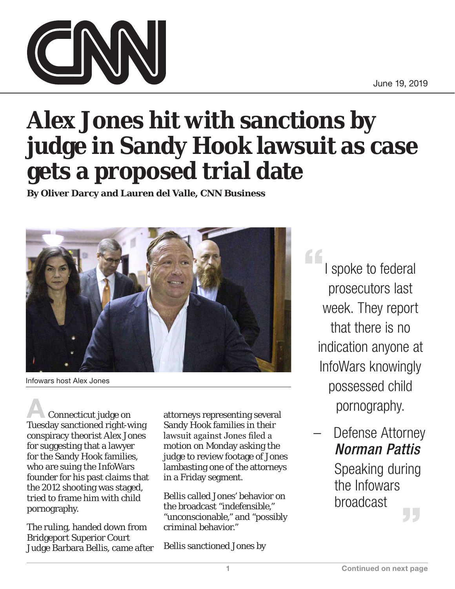

## **CINE**

## **Alex Jones hit with sanctions by judge in Sandy Hook lawsuit as case gets a proposed trial date**

**By Oliver Darcy and Lauren del Valle, CNN Business**



Infowars host Alex Jones

Connecticut judge on Tuesday sanctioned right-wing conspiracy theorist Alex Jones for suggesting that a lawyer for the Sandy Hook families, who are suing the InfoWars founder for his past claims that the 2012 shooting was staged, tried to frame him with child pornography.

The ruling, handed down from Bridgeport Superior Court Judge Barbara Bellis, came after attorneys representing several Sandy Hook families in their lawsuit against Jones filed a motion on Monday asking the judge to review footage of Jones lambasting one of the attorneys in a Friday segment.

Bellis called Jones' behavior on the broadcast "indefensible," "unconscionable," and "possibly criminal behavior."

Bellis sanctioned Jones by

I spoke to federal prosecutors last week. They report that there is no indication anyone at InfoWars knowingly possessed child pornography.

> Defense Attorney *Norman Pattis*  Speaking during the Infowars broadcast 99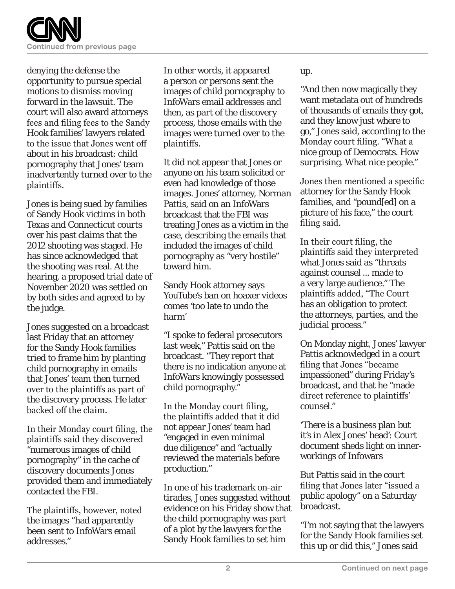

denying the defense the opportunity to pursue special motions to dismiss moving forward in the lawsuit. The court will also award attorneys fees and filing fees to the Sandy Hook families' lawyers related to the issue that Jones went off about in his broadcast: child pornography that Jones' team inadvertently turned over to the plaintiffs.

Jones is being sued by families of Sandy Hook victims in both Texas and Connecticut courts over his past claims that the 2012 shooting was staged. He has since acknowledged that the shooting was real. At the hearing, a proposed trial date of November 2020 was settled on by both sides and agreed to by the judge.

Jones suggested on a broadcast last Friday that an attorney for the Sandy Hook families tried to frame him by planting child pornography in emails that Jones' team then turned over to the plaintiffs as part of the discovery process. He later backed off the claim.

In their Monday court filing, the plaintiffs said they discovered "numerous images of child pornography" in the cache of discovery documents Jones provided them and immediately contacted the FBI.

The plaintiffs, however, noted the images "had apparently been sent to InfoWars email addresses."

In other words, it appeared a person or persons sent the images of child pornography to InfoWars email addresses and then, as part of the discovery process, those emails with the images were turned over to the plaintiffs.

It did not appear that Jones or anyone on his team solicited or even had knowledge of those images. Jones' attorney, Norman Pattis, said on an InfoWars broadcast that the FBI was treating Jones as a victim in the case, describing the emails that included the images of child pornography as "very hostile" toward him.

Sandy Hook attorney says YouTube's ban on hoaxer videos comes 'too late to undo the harm'

"I spoke to federal prosecutors last week," Pattis said on the broadcast. "They report that there is no indication anyone at InfoWars knowingly possessed child pornography."

In the Monday court filing, the plaintiffs added that it did not appear Jones' team had "engaged in even minimal due diligence" and "actually reviewed the materials before production."

In one of his trademark on-air tirades, Jones suggested without evidence on his Friday show that the child pornography was part of a plot by the lawyers for the Sandy Hook families to set him

up.

"And then now magically they want metadata out of hundreds of thousands of emails they got, and they know just where to go," Jones said, according to the Monday court filing. "What a nice group of Democrats. How surprising. What nice people."

Jones then mentioned a specific attorney for the Sandy Hook families, and "pound[ed] on a picture of his face," the court filing said.

In their court filing, the plaintiffs said they interpreted what Jones said as "threats against counsel ... made to a very large audience." The plaintiffs added, "The Court has an obligation to protect the attorneys, parties, and the judicial process."

On Monday night, Jones' lawyer Pattis acknowledged in a court filing that Jones "became impassioned" during Friday's broadcast, and that he "made direct reference to plaintiffs' counsel."

'There is a business plan but it's in Alex Jones' head': Court document sheds light on innerworkings of Infowars

But Pattis said in the court filing that Jones later "issued a public apology" on a Saturday broadcast.

"I'm not saying that the lawyers for the Sandy Hook families set this up or did this," Jones said